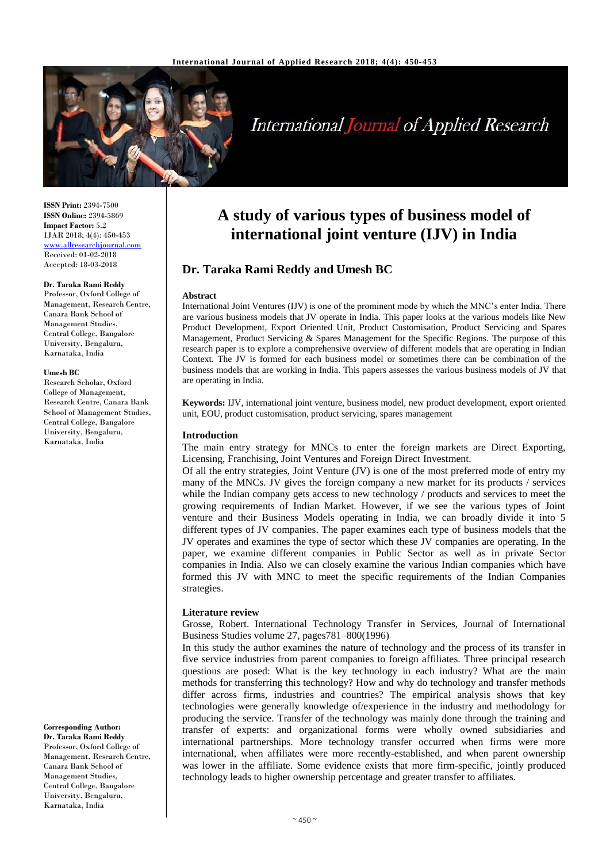

# International Journal of Applied Research

**ISSN Print:** 2394-7500 **ISSN Online:** 2394-5869 **Impact Factor:** 5.2 IJAR 2018; 4(4): 450-453 [www.allresearchjournal.com](http://www.allresearchjournal.com/) Received: 01-02-2018 Accepted: 18-03-2018

# **Dr. Taraka Rami Reddy**

Professor, Oxford College of Management, Research Centre, Canara Bank School of Management Studies, Central College, Bangalore University, Bengaluru, Karnataka, India

#### **Umesh BC**

Research Scholar, Oxford College of Management, Research Centre, Canara Bank School of Management Studies, Central College, Bangalore University, Bengaluru, Karnataka, India

**Corresponding Author: Dr. Taraka Rami Reddy** Professor, Oxford College of Management, Research Centre, Canara Bank School of Management Studies, Central College, Bangalore University, Bengaluru, Karnataka, India

# **A study of various types of business model of international joint venture (IJV) in India**

# **Dr. Taraka Rami Reddy and Umesh BC**

#### **Abstract**

International Joint Ventures (IJV) is one of the prominent mode by which the MNC's enter India. There are various business models that JV operate in India. This paper looks at the various models like New Product Development, Export Oriented Unit, Product Customisation, Product Servicing and Spares Management, Product Servicing & Spares Management for the Specific Regions. The purpose of this research paper is to explore a comprehensive overview of different models that are operating in Indian Context. The JV is formed for each business model or sometimes there can be combination of the business models that are working in India. This papers assesses the various business models of JV that are operating in India.

**Keywords:** IJV, international joint venture, business model, new product development, export oriented unit, EOU, product customisation, product servicing, spares management

# **Introduction**

The main entry strategy for MNCs to enter the foreign markets are Direct Exporting, Licensing, Franchising, Joint Ventures and Foreign Direct Investment.

Of all the entry strategies, Joint Venture (JV) is one of the most preferred mode of entry my many of the MNCs. JV gives the foreign company a new market for its products / services while the Indian company gets access to new technology / products and services to meet the growing requirements of Indian Market. However, if we see the various types of Joint venture and their Business Models operating in India, we can broadly divide it into 5 different types of JV companies. The paper examines each type of business models that the JV operates and examines the type of sector which these JV companies are operating. In the paper, we examine different companies in Public Sector as well as in private Sector companies in India. Also we can closely examine the various Indian companies which have formed this JV with MNC to meet the specific requirements of the Indian Companies strategies.

# **Literature review**

Grosse, Robert. International Technology Transfer in Services, Journal of International Business Studies volume 27, pages781–800(1996)

In this study the author examines the nature of technology and the process of its transfer in five service industries from parent companies to foreign affiliates. Three principal research questions are posed: What is the key technology in each industry? What are the main methods for transferring this technology? How and why do technology and transfer methods differ across firms, industries and countries? The empirical analysis shows that key technologies were generally knowledge of/experience in the industry and methodology for producing the service. Transfer of the technology was mainly done through the training and transfer of experts: and organizational forms were wholly owned subsidiaries and international partnerships. More technology transfer occurred when firms were more international, when affiliates were more recently-established, and when parent ownership was lower in the affiliate. Some evidence exists that more firm-specific, jointly produced technology leads to higher ownership percentage and greater transfer to affiliates.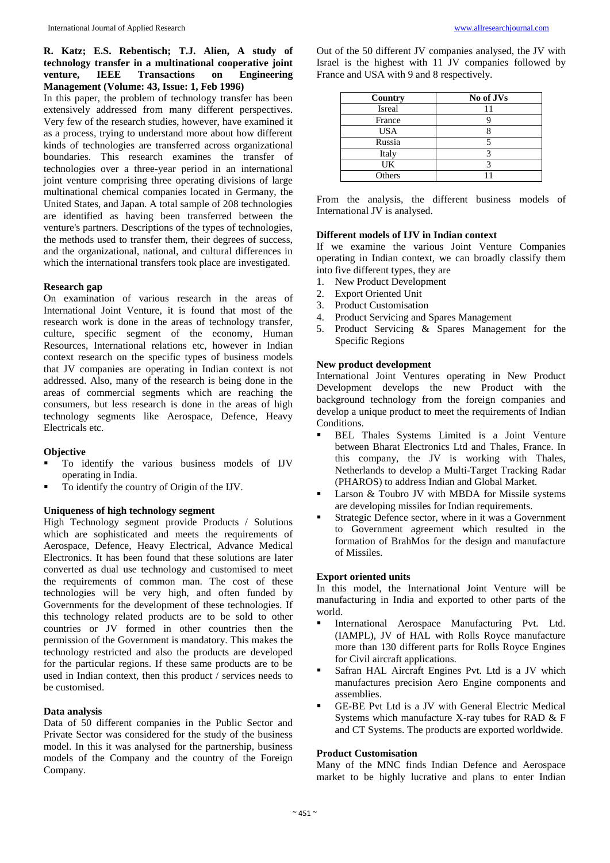# **R. Katz; E.S. Rebentisch; T.J. Alien, A study of technology transfer in a multinational cooperative joint venture, IEEE Transactions on Engineering Management (Volume: 43, Issue: 1, Feb 1996)**

In this paper, the problem of technology transfer has been extensively addressed from many different perspectives. Very few of the research studies, however, have examined it as a process, trying to understand more about how different kinds of technologies are transferred across organizational boundaries. This research examines the transfer of technologies over a three-year period in an international joint venture comprising three operating divisions of large multinational chemical companies located in Germany, the United States, and Japan. A total sample of 208 technologies are identified as having been transferred between the venture's partners. Descriptions of the types of technologies, the methods used to transfer them, their degrees of success, and the organizational, national, and cultural differences in which the international transfers took place are investigated.

# **Research gap**

On examination of various research in the areas of International Joint Venture, it is found that most of the research work is done in the areas of technology transfer, culture, specific segment of the economy, Human Resources, International relations etc, however in Indian context research on the specific types of business models that JV companies are operating in Indian context is not addressed. Also, many of the research is being done in the areas of commercial segments which are reaching the consumers, but less research is done in the areas of high technology segments like Aerospace, Defence, Heavy Electricals etc.

# **Objective**

- To identify the various business models of IJV operating in India.
- To identify the country of Origin of the IJV.

# **Uniqueness of high technology segment**

High Technology segment provide Products / Solutions which are sophisticated and meets the requirements of Aerospace, Defence, Heavy Electrical, Advance Medical Electronics. It has been found that these solutions are later converted as dual use technology and customised to meet the requirements of common man. The cost of these technologies will be very high, and often funded by Governments for the development of these technologies. If this technology related products are to be sold to other countries or JV formed in other countries then the permission of the Government is mandatory. This makes the technology restricted and also the products are developed for the particular regions. If these same products are to be used in Indian context, then this product / services needs to be customised.

# **Data analysis**

Data of 50 different companies in the Public Sector and Private Sector was considered for the study of the business model. In this it was analysed for the partnership, business models of the Company and the country of the Foreign Company.

Out of the 50 different JV companies analysed, the JV with Israel is the highest with 11 JV companies followed by France and USA with 9 and 8 respectively.

| Country    | No of JVs |
|------------|-----------|
| Isreal     |           |
| France     |           |
| <b>USA</b> |           |
| Russia     |           |
| Italy      |           |
| UK         |           |
| Others     |           |

From the analysis, the different business models of International JV is analysed.

# **Different models of IJV in Indian context**

If we examine the various Joint Venture Companies operating in Indian context, we can broadly classify them into five different types, they are

- 1. New Product Development
- 2. Export Oriented Unit
- 3. Product Customisation
- 4. Product Servicing and Spares Management
- 5. Product Servicing & Spares Management for the Specific Regions

# **New product development**

International Joint Ventures operating in New Product Development develops the new Product with the background technology from the foreign companies and develop a unique product to meet the requirements of Indian Conditions.

- BEL Thales Systems Limited is a Joint Venture between Bharat Electronics Ltd and Thales, France. In this company, the JV is working with Thales, Netherlands to develop a Multi-Target Tracking Radar (PHAROS) to address Indian and Global Market.
- **Larson & Toubro JV with MBDA for Missile systems** are developing missiles for Indian requirements.
- Strategic Defence sector, where in it was a Government to Government agreement which resulted in the formation of BrahMos for the design and manufacture of Missiles.

# **Export oriented units**

In this model, the International Joint Venture will be manufacturing in India and exported to other parts of the world.

- **International Aerospace Manufacturing Pvt. Ltd.** (IAMPL), JV of HAL with Rolls Royce manufacture more than 130 different parts for Rolls Royce Engines for Civil aircraft applications.
- Safran HAL Aircraft Engines Pvt. Ltd is a JV which manufactures precision Aero Engine components and assemblies.
- GE-BE Pvt Ltd is a JV with General Electric Medical Systems which manufacture X-ray tubes for RAD  $&$  F and CT Systems. The products are exported worldwide.

# **Product Customisation**

Many of the MNC finds Indian Defence and Aerospace market to be highly lucrative and plans to enter Indian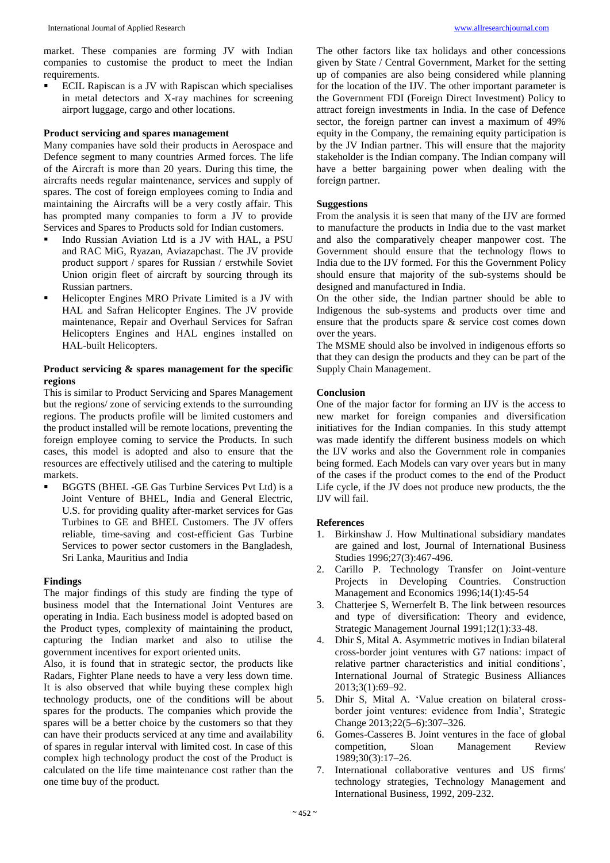market. These companies are forming JV with Indian companies to customise the product to meet the Indian requirements.

 ECIL Rapiscan is a JV with Rapiscan which specialises in metal detectors and X-ray machines for screening airport luggage, cargo and other locations.

# **Product servicing and spares management**

Many companies have sold their products in Aerospace and Defence segment to many countries Armed forces. The life of the Aircraft is more than 20 years. During this time, the aircrafts needs regular maintenance, services and supply of spares. The cost of foreign employees coming to India and maintaining the Aircrafts will be a very costly affair. This has prompted many companies to form a JV to provide Services and Spares to Products sold for Indian customers.

- Indo Russian Aviation Ltd is a JV with HAL, a PSU and RAC MiG, Ryazan, Aviazapchast. The JV provide product support / spares for Russian / erstwhile Soviet Union origin fleet of aircraft by sourcing through its Russian partners.
- Helicopter Engines MRO Private Limited is a JV with HAL and Safran Helicopter Engines. The JV provide maintenance, Repair and Overhaul Services for Safran Helicopters Engines and HAL engines installed on HAL-built Helicopters.

# **Product servicing & spares management for the specific regions**

This is similar to Product Servicing and Spares Management but the regions/ zone of servicing extends to the surrounding regions. The products profile will be limited customers and the product installed will be remote locations, preventing the foreign employee coming to service the Products. In such cases, this model is adopted and also to ensure that the resources are effectively utilised and the catering to multiple markets.

 BGGTS (BHEL -GE Gas Turbine Services Pvt Ltd) is a Joint Venture of BHEL, India and General Electric, U.S. for providing quality after-market services for Gas Turbines to GE and BHEL Customers. The JV offers reliable, time-saving and cost-efficient Gas Turbine Services to power sector customers in the Bangladesh, Sri Lanka, Mauritius and India

# **Findings**

The major findings of this study are finding the type of business model that the International Joint Ventures are operating in India. Each business model is adopted based on the Product types, complexity of maintaining the product, capturing the Indian market and also to utilise the government incentives for export oriented units.

Also, it is found that in strategic sector, the products like Radars, Fighter Plane needs to have a very less down time. It is also observed that while buying these complex high technology products, one of the conditions will be about spares for the products. The companies which provide the spares will be a better choice by the customers so that they can have their products serviced at any time and availability of spares in regular interval with limited cost. In case of this complex high technology product the cost of the Product is calculated on the life time maintenance cost rather than the one time buy of the product.

The other factors like tax holidays and other concessions given by State / Central Government, Market for the setting up of companies are also being considered while planning for the location of the IJV. The other important parameter is the Government FDI (Foreign Direct Investment) Policy to attract foreign investments in India. In the case of Defence sector, the foreign partner can invest a maximum of 49% equity in the Company, the remaining equity participation is by the JV Indian partner. This will ensure that the majority stakeholder is the Indian company. The Indian company will have a better bargaining power when dealing with the foreign partner.

#### **Suggestions**

From the analysis it is seen that many of the IJV are formed to manufacture the products in India due to the vast market and also the comparatively cheaper manpower cost. The Government should ensure that the technology flows to India due to the IJV formed. For this the Government Policy should ensure that majority of the sub-systems should be designed and manufactured in India.

On the other side, the Indian partner should be able to Indigenous the sub-systems and products over time and ensure that the products spare & service cost comes down over the years.

The MSME should also be involved in indigenous efforts so that they can design the products and they can be part of the Supply Chain Management.

#### **Conclusion**

One of the major factor for forming an IJV is the access to new market for foreign companies and diversification initiatives for the Indian companies. In this study attempt was made identify the different business models on which the IJV works and also the Government role in companies being formed. Each Models can vary over years but in many of the cases if the product comes to the end of the Product Life cycle, if the JV does not produce new products, the the IJV will fail.

# **References**

- 1. Birkinshaw J. How Multinational subsidiary mandates are gained and lost, Journal of International Business Studies 1996;27(3):467-496.
- 2. Carillo P. Technology Transfer on Joint-venture Projects in Developing Countries. Construction Management and Economics 1996;14(1):45-54
- 3. Chatterjee S, Wernerfelt B. The link between resources and type of diversification: Theory and evidence, Strategic Management Journal 1991;12(1):33-48.
- 4. Dhir S, Mital A. Asymmetric motives in Indian bilateral cross-border joint ventures with G7 nations: impact of relative partner characteristics and initial conditions', International Journal of Strategic Business Alliances 2013;3(1):69–92.
- 5. Dhir S, Mital A. 'Value creation on bilateral crossborder joint ventures: evidence from India', Strategic Change 2013;22(5–6):307–326.
- 6. Gomes-Casseres B. Joint ventures in the face of global competition, Sloan Management Review 1989;30(3):17–26.
- 7. International collaborative ventures and US firms' technology strategies, Technology Management and International Business, 1992, 209-232.